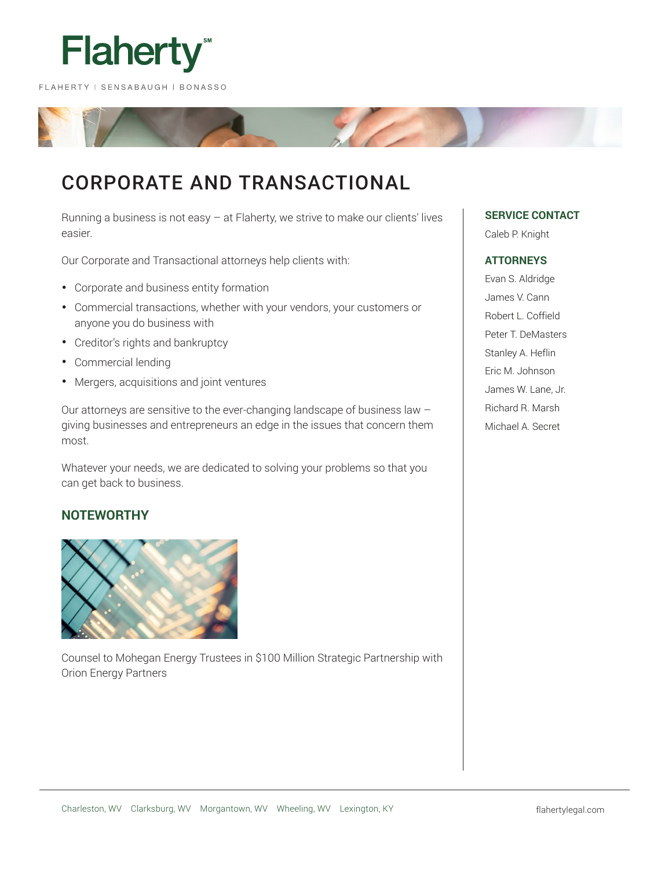

# CORPORATE AND TRANSACTIONAL

Running a business is not easy – at Flaherty, we strive to make our clients' lives easier.

Our Corporate and Transactional attorneys help clients with:

- Corporate and business entity formation
- Commercial transactions, whether with your vendors, your customers or anyone you do business with
- Creditor's rights and bankruptcy
- Commercial lending
- Mergers, acquisitions and joint ventures

Our attorneys are sensitive to the ever-changing landscape of business law – giving businesses and entrepreneurs an edge in the issues that concern them most.

Whatever your needs, we are dedicated to solving your problems so that you can get back to business.

# **NOTEWORTHY**



Counsel to Mohegan Energy Trustees in \$100 Million Strategic Partnership with Orion Energy Partners

# **SERVICE CONTACT**

Caleb P. Knight

# **ATTORNEYS**

Evan S. Aldridge James V. Cann Robert L. Coffield Peter T. DeMasters Stanley A. Heflin Eric M. Johnson James W. Lane, Jr. Richard R. Marsh Michael A. Secret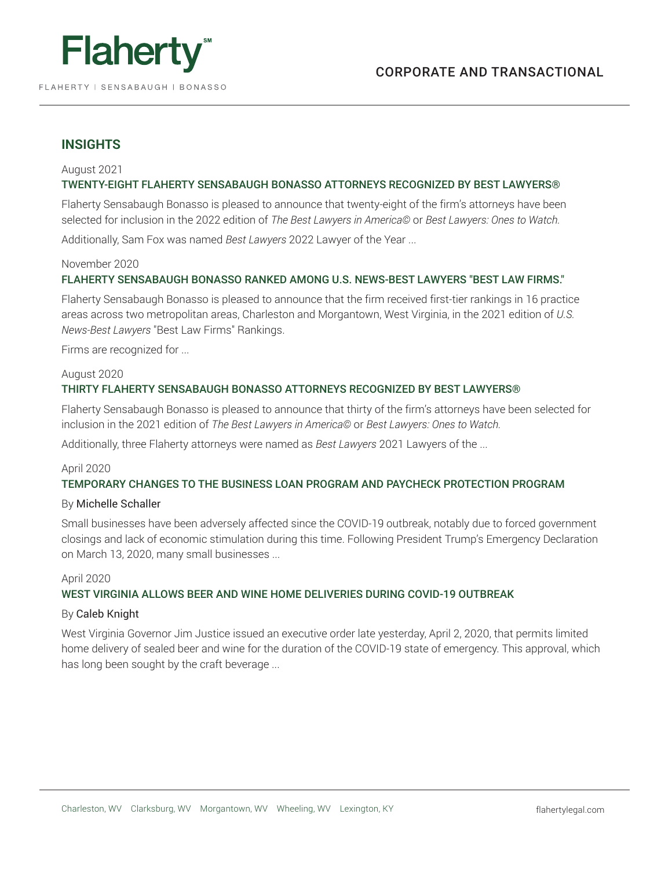

# **INSIGHTS**

# August 2021 TWENTY-EIGHT FLAHERTY SENSABAUGH BONASSO ATTORNEYS RECOGNIZED BY BEST LAWYERS®

Flaherty Sensabaugh Bonasso is pleased to announce that twenty-eight of the firm's attorneys have been selected for inclusion in the 2022 edition of *The Best Lawyers in America©* or *Best Lawyers: Ones to Watch.*

Additionally, Sam Fox was named *Best Lawyers* 2022 Lawyer of the Year ...

# November 2020

# FLAHERTY SENSABAUGH BONASSO RANKED AMONG U.S. NEWS-BEST LAWYERS "BEST LAW FIRMS."

Flaherty Sensabaugh Bonasso is pleased to announce that the firm received first-tier rankings in 16 practice areas across two metropolitan areas, Charleston and Morgantown, West Virginia, in the 2021 edition of *U.S. News-Best Lawyers* "Best Law Firms" Rankings.

Firms are recognized for ...

# August 2020

# THIRTY FLAHERTY SENSABAUGH BONASSO ATTORNEYS RECOGNIZED BY BEST LAWYERS®

Flaherty Sensabaugh Bonasso is pleased to announce that thirty of the firm's attorneys have been selected for inclusion in the 2021 edition of *The Best Lawyers in America©* or *Best Lawyers: Ones to Watch.*

Additionally, three Flaherty attorneys were named as *Best Lawyers* 2021 Lawyers of the ...

# April 2020

## TEMPORARY CHANGES TO THE BUSINESS LOAN PROGRAM AND PAYCHECK PROTECTION PROGRAM

## By Michelle Schaller

Small businesses have been adversely affected since the COVID-19 outbreak, notably due to forced government closings and lack of economic stimulation during this time. Following President Trump's Emergency Declaration on March 13, 2020, many small businesses ...

## April 2020

# WEST VIRGINIA ALLOWS BEER AND WINE HOME DELIVERIES DURING COVID-19 OUTBREAK

## By Caleb Knight

West Virginia Governor Jim Justice issued an executive order late yesterday, April 2, 2020, that permits limited home delivery of sealed beer and wine for the duration of the COVID-19 state of emergency. This approval, which has long been sought by the craft beverage ...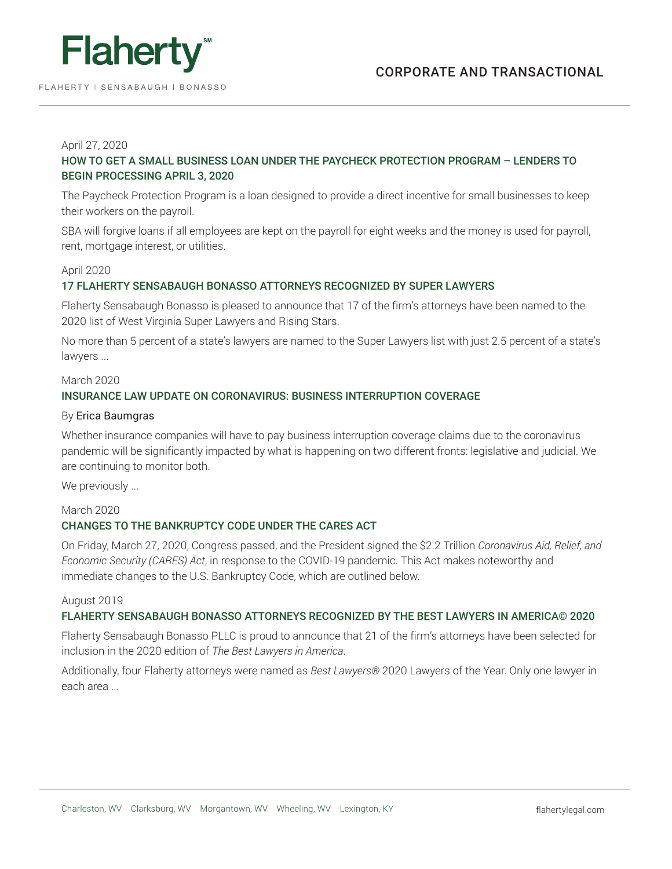

# April 27, 2020

# HOW TO GET A SMALL BUSINESS LOAN UNDER THE PAYCHECK PROTECTION PROGRAM – LENDERS TO BEGIN PROCESSING APRIL 3, 2020

The Paycheck Protection Program is a loan designed to provide a direct incentive for small businesses to keep their workers on the payroll.

SBA will forgive loans if all employees are kept on the payroll for eight weeks and the money is used for payroll, rent, mortgage interest, or utilities.

# April 2020

# 17 FLAHERTY SENSABAUGH BONASSO ATTORNEYS RECOGNIZED BY SUPER LAWYERS

Flaherty Sensabaugh Bonasso is pleased to announce that 17 of the firm's attorneys have been named to the 2020 list of West Virginia Super Lawyers and Rising Stars.

No more than 5 percent of a state's lawyers are named to the Super Lawyers list with just 2.5 percent of a state's lawyers ...

## March 2020

# INSURANCE LAW UPDATE ON CORONAVIRUS: BUSINESS INTERRUPTION COVERAGE

#### By Erica Baumgras

Whether insurance companies will have to pay business interruption coverage claims due to the coronavirus pandemic will be significantly impacted by what is happening on two different fronts: legislative and judicial. We are continuing to monitor both.

We previously ...

## March 2020

# CHANGES TO THE BANKRUPTCY CODE UNDER THE CARES ACT

On Friday, March 27, 2020, Congress passed, and the President signed the \$2.2 Trillion *Coronavirus Aid, Relief, and Economic Security (CARES) Act*, in response to the COVID-19 pandemic. This Act makes noteworthy and immediate changes to the U.S. Bankruptcy Code, which are outlined below.

#### August 2019

# FLAHERTY SENSABAUGH BONASSO ATTORNEYS RECOGNIZED BY THE BEST LAWYERS IN AMERICA© 2020

Flaherty Sensabaugh Bonasso PLLC is proud to announce that 21 of the firm's attorneys have been selected for inclusion in the 2020 edition of *The Best Lawyers in America*.

Additionally, four Flaherty attorneys were named as *Best Lawyers®* 2020 Lawyers of the Year. Only one lawyer in each area ...